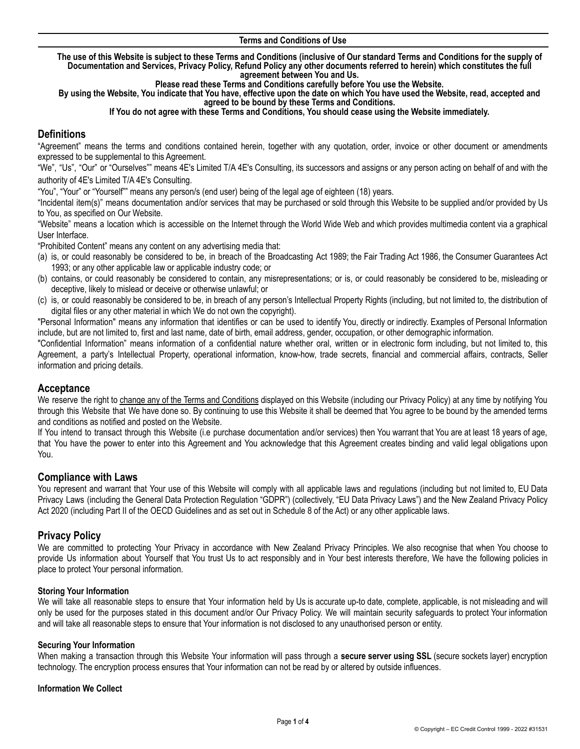The use of this Website is subject to these Terms and Conditions (inclusive of Our standard Terms and Conditions for the supply of Documentation and Services, Privacy Policy, Refund Policy any other documents referred to herein) which constitutes the full **agreement between You and Us.**

**Please read these Terms and Conditions carefully before You use the Website.**

By using the Website, You indicate that You have, effective upon the date on which You have used the Website, read, accepted and **agreed to be bound by these Terms and Conditions.**

#### **If You do not agree with these Terms and Conditions, You should cease using the Website immediately.**

# **Definitions**

"Agreement" means the terms and conditions contained herein, together with any quotation, order, invoice or other document or amendments expressed to be supplemental to this Agreement.

"We", "Us", "Our" or "Ourselves"" means 4E's Limited T/A 4E's Consulting, its successors and assigns or any person acting on behalf of and with the authority of 4E's Limited T/A 4E's Consulting.

"You", "Your" or "Yourself"" means any person/s (end user) being of the legal age of eighteen (18) years.

"Incidental item(s)" means documentation and/or services that may be purchased or sold through this Website to be supplied and/or provided by Us to You, as specified on Our Website.

"Website" means a location which is accessible on the Internet through the World Wide Web and which provides multimedia content via a graphical User Interface.

"Prohibited Content" means any content on any advertising media that:

- (a) is, or could reasonably be considered to be, in breach of the Broadcasting Act 1989; the Fair Trading Act 1986, the Consumer Guarantees Act 1993; or any other applicable law or applicable industry code; or
- (b) contains, or could reasonably be considered to contain, any misrepresentations; or is, or could reasonably be considered to be, misleading or deceptive, likely to mislead or deceive or otherwise unlawful; or
- (c) is, or could reasonably be considered to be, in breach of any person's Intellectual Property Rights (including, but not limited to, the distribution of digital files or any other material in which We do not own the copyright).

"Personal Information" means any information that identifies or can be used to identify You, directly or indirectly. Examples of Personal Information include, but are not limited to, first and last name, date of birth, email address, gender, occupation, or other demographic information.

"Confidential Information" means information of a confidential nature whether oral, written or in electronic form including, but not limited to, this Agreement, a party's Intellectual Property, operational information, know-how, trade secrets, financial and commercial affairs, contracts, Seller information and pricing details.

# **Acceptance**

We reserve the right to change any of the Terms and Conditions displayed on this Website (including our Privacy Policy) at any time by notifying You through this Website that We have done so. By continuing to use this Website it shall be deemed that You agree to be bound by the amended terms and conditions as notified and posted on the Website.

If You intend to transact through this Website (i.e purchase documentation and/or services) then You warrant that You are at least 18 years of age, that You have the power to enter into this Agreement and You acknowledge that this Agreement creates binding and valid legal obligations upon You.

# **Compliance with Laws**

You represent and warrant that Your use of this Website will comply with all applicable laws and regulations (including but not limited to, EU Data Privacy Laws (including the General Data Protection Regulation "GDPR") (collectively, "EU Data Privacy Laws") and the New Zealand Privacy Policy Act 2020 (including Part II of the OECD Guidelines and as set out in Schedule 8 of the Act) or any other applicable laws.

# **Privacy Policy**

We are committed to protecting Your Privacy in accordance with New Zealand Privacy Principles. We also recognise that when You choose to provide Us information about Yourself that You trust Us to act responsibly and in Your best interests therefore, We have the following policies in place to protect Your personal information.

### **Storing Your Information**

We will take all reasonable steps to ensure that Your information held by Us is accurate up-to date, complete, applicable, is not misleading and will only be used for the purposes stated in this document and/or Our Privacy Policy. We will maintain security safeguards to protect Your information and will take all reasonable steps to ensure that Your information is not disclosed to any unauthorised person or entity.

### **Securing Your Information**

When making a transaction through this Website Your information will pass through a **secure server using SSL** (secure sockets layer) encryption technology. The encryption process ensures that Your information can not be read by or altered by outside influences.

### **Information We Collect**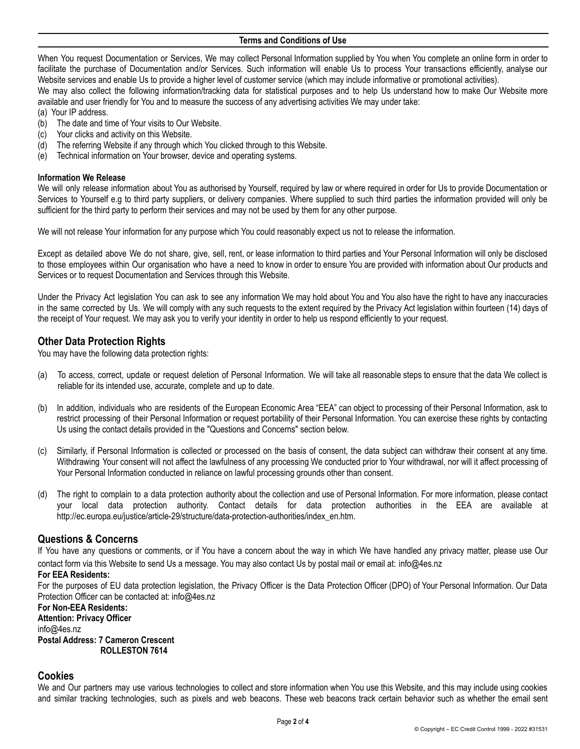#### **Terms and Conditions of Use**

When You request Documentation or Services, We may collect Personal Information supplied by You when You complete an online form in order to facilitate the purchase of Documentation and/or Services. Such information will enable Us to process Your transactions efficiently, analyse our Website services and enable Us to provide a higher level of customer service (which may include informative or promotional activities).

We may also collect the following information/tracking data for statistical purposes and to help Us understand how to make Our Website more available and user friendly for You and to measure the success of any advertising activities We may under take:

(a) Your IP address.

- (b) The date and time of Your visits to Our Website.
- (c) Your clicks and activity on this Website.
- (d) The referring Website if any through which You clicked through to this Website.
- (e) Technical information on Your browser, device and operating systems.

#### **Information We Release**

We will only release information about You as authorised by Yourself, required by law or where required in order for Us to provide Documentation or Services to Yourself e.g to third party suppliers, or delivery companies. Where supplied to such third parties the information provided will only be sufficient for the third party to perform their services and may not be used by them for any other purpose.

We will not release Your information for any purpose which You could reasonably expect us not to release the information.

Except as detailed above We do not share, give, sell, rent, or lease information to third parties and Your Personal Information will only be disclosed to those employees within Our organisation who have a need to know in order to ensure You are provided with information about Our products and Services or to request Documentation and Services through this Website.

Under the Privacy Act legislation You can ask to see any information We may hold about You and You also have the right to have any inaccuracies in the same corrected by Us. We will comply with any such requests to the extent required by the Privacy Act legislation within fourteen (14) days of the receipt of Your request. We may ask you to verify your identity in order to help us respond efficiently to your request.

# **Other Data Protection Rights**

You may have the following data protection rights:

- (a) To access, correct, update or request deletion of Personal Information. We will take all reasonable steps to ensure that the data We collect is reliable for its intended use, accurate, complete and up to date.
- (b) In addition, individuals who are residents of the European Economic Area "EEA" can object to processing of their Personal Information, ask to restrict processing of their Personal Information or request portability of their Personal Information. You can exercise these rights by contacting Us using the contact details provided in the "Questions and Concerns" section below.
- (c) Similarly, if Personal Information is collected or processed on the basis of consent, the data subject can withdraw their consent at any time. Withdrawing Your consent will not affect the lawfulness of any processing We conducted prior to Your withdrawal, nor will it affect processing of Your Personal Information conducted in reliance on lawful processing grounds other than consent.
- (d) The right to complain to a data protection authority about the collection and use of Personal Information. For more information, please contact your local data protection authority. Contact details for data protection authorities in the EEA are available at http://ec.europa.eu/justice/article-29/structure/data-protection-authorities/index\_en.htm.

# **Questions & Concerns**

If You have any questions or comments, or if You have a concern about the way in which We have handled any privacy matter, please use Our [contact](https://mailchimp.com/contact/) form via this Website to send Us a message. You may also contact Us by postal mail or email at: info@4es.nz

### **For EEA Residents:**

For the purposes of EU data protection legislation, the Privacy Officer is the Data Protection Officer (DPO) of Your Personal Information. Our Data Protection Officer can be contacted at: info@4es.nz

# **For Non-EEA Residents:**

**Attention: Privacy Officer** info@4es.nz **Postal Address: 7 Cameron Crescent ROLLESTON 7614**

# **Cookies**

We and Our partners may use various technologies to collect and store information when You use this Website, and this may include using cookies and similar tracking technologies, such as pixels and web beacons. These web beacons track certain behavior such as whether the email sent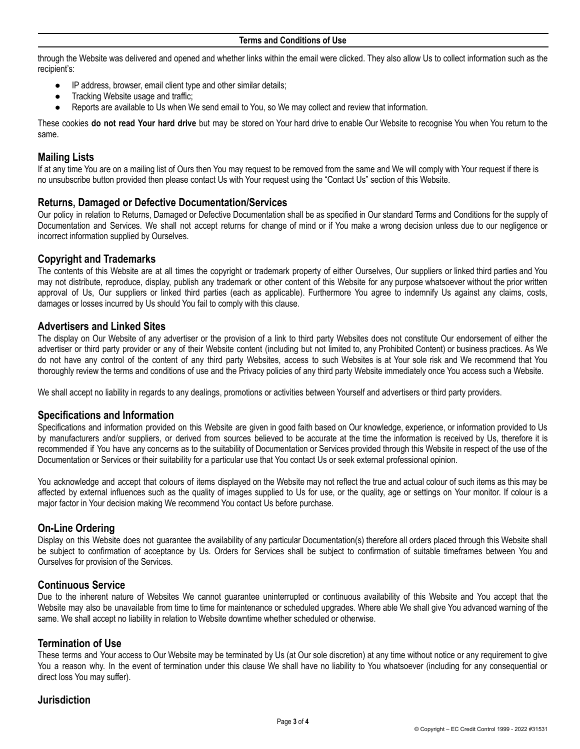through the Website was delivered and opened and whether links within the email were clicked. They also allow Us to collect information such as the recipient's:

- IP address, browser, email client type and other similar details;
- Tracking Website usage and traffic;
- Reports are available to Us when We send email to You, so We may collect and review that information.

These cookies **do not read Your hard drive** but may be stored on Your hard drive to enable Our Website to recognise You when You return to the same.

# **Mailing Lists**

If at any time You are on a mailing list of Ours then You may request to be removed from the same and We will comply with Your request if there is no unsubscribe button provided then please contact Us with Your request using the "Contact Us" section of this Website.

# **Returns, Damaged or Defective Documentation/Services**

Our policy in relation to Returns, Damaged or Defective Documentation shall be as specified in Our standard Terms and Conditions for the supply of Documentation and Services. We shall not accept returns for change of mind or if You make a wrong decision unless due to our negligence or incorrect information supplied by Ourselves.

# **Copyright and Trademarks**

The contents of this Website are at all times the copyright or trademark property of either Ourselves, Our suppliers or linked third parties and You may not distribute, reproduce, display, publish any trademark or other content of this Website for any purpose whatsoever without the prior written approval of Us, Our suppliers or linked third parties (each as applicable). Furthermore You agree to indemnify Us against any claims, costs, damages or losses incurred by Us should You fail to comply with this clause.

# **Advertisers and Linked Sites**

The display on Our Website of any advertiser or the provision of a link to third party Websites does not constitute Our endorsement of either the advertiser or third party provider or any of their Website content (including but not limited to, any Prohibited Content) or business practices. As We do not have any control of the content of any third party Websites, access to such Websites is at Your sole risk and We recommend that You thoroughly review the terms and conditions of use and the Privacy policies of any third party Website immediately once You access such a Website.

We shall accept no liability in regards to any dealings, promotions or activities between Yourself and advertisers or third party providers.

# **Specifications and Information**

Specifications and information provided on this Website are given in good faith based on Our knowledge, experience, or information provided to Us by manufacturers and/or suppliers, or derived from sources believed to be accurate at the time the information is received by Us, therefore it is recommended if You have any concerns as to the suitability of Documentation or Services provided through this Website in respect of the use of the Documentation or Services or their suitability for a particular use that You contact Us or seek external professional opinion.

You acknowledge and accept that colours of items displayed on the Website may not reflect the true and actual colour of such items as this may be affected by external influences such as the quality of images supplied to Us for use, or the quality, age or settings on Your monitor. If colour is a major factor in Your decision making We recommend You contact Us before purchase.

# **On-Line Ordering**

Display on this Website does not guarantee the availability of any particular Documentation(s) therefore all orders placed through this Website shall be subject to confirmation of acceptance by Us. Orders for Services shall be subject to confirmation of suitable timeframes between You and Ourselves for provision of the Services.

# **Continuous Service**

Due to the inherent nature of Websites We cannot guarantee uninterrupted or continuous availability of this Website and You accept that the Website may also be unavailable from time to time for maintenance or scheduled upgrades. Where able We shall give You advanced warning of the same. We shall accept no liability in relation to Website downtime whether scheduled or otherwise.

# **Termination of Use**

These terms and Your access to Our Website may be terminated by Us (at Our sole discretion) at any time without notice or any requirement to give You a reason why. In the event of termination under this clause We shall have no liability to You whatsoever (including for any consequential or direct loss You may suffer).

# **Jurisdiction**